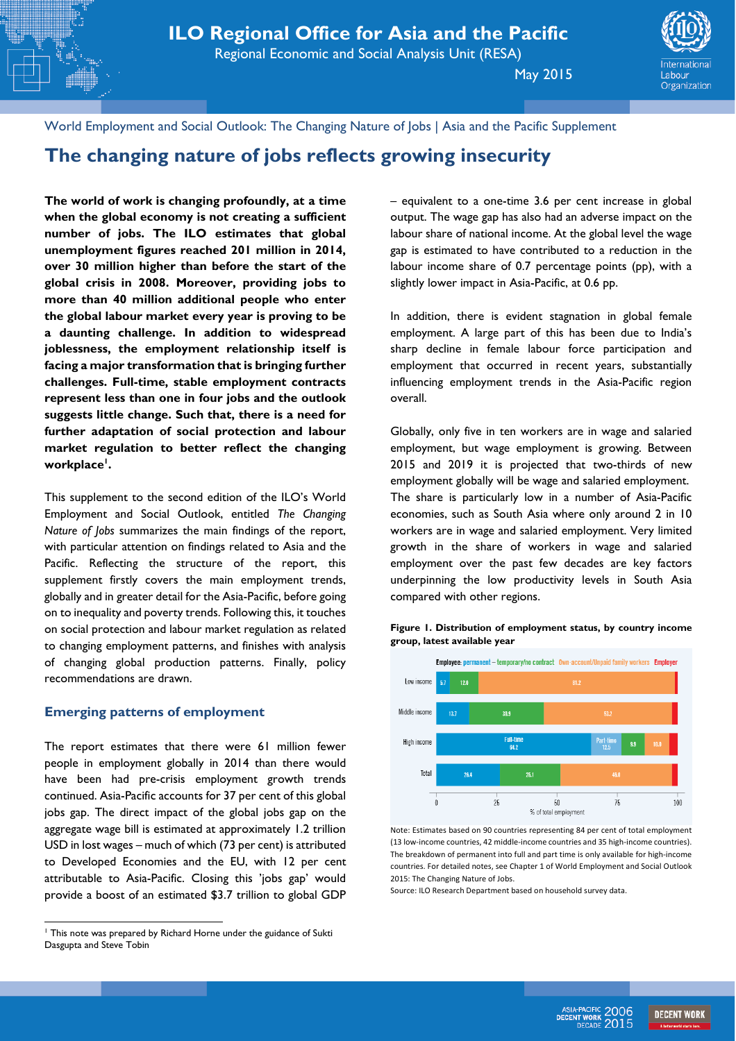May 2015



World Employment and Social Outlook: The Changing Nature of Jobs | Asia and the Pacific Supplement

# **The changing nature of jobs reflects growing insecurity**

**The world of work is changing profoundly, at a time when the global economy is not creating a sufficient number of jobs. The ILO estimates that global unemployment figures reached 201 million in 2014, over 30 million higher than before the start of the global crisis in 2008. Moreover, providing jobs to more than 40 million additional people who enter the global labour market every year is proving to be a daunting challenge. In addition to widespread joblessness, the employment relationship itself is facing a major transformation that is bringing further challenges. Full-time, stable employment contracts represent less than one in four jobs and the outlook suggests little change. Such that, there is a need for further adaptation of social protection and labour market regulation to better reflect the changing workplace<sup>1</sup> .** 

This supplement to the second edition of the ILO's World Employment and Social Outlook, entitled *The Changing Nature of Jobs* summarizes the main findings of the report, with particular attention on findings related to Asia and the Pacific. Reflecting the structure of the report, this supplement firstly covers the main employment trends, globally and in greater detail for the Asia-Pacific, before going on to inequality and poverty trends. Following this, it touches on social protection and labour market regulation as related to changing employment patterns, and finishes with analysis of changing global production patterns. Finally, policy recommendations are drawn.

#### **Emerging patterns of employment**

The report estimates that there were 61 million fewer people in employment globally in 2014 than there would have been had pre-crisis employment growth trends continued. Asia-Pacific accounts for 37 per cent of this global jobs gap. The direct impact of the global jobs gap on the aggregate wage bill is estimated at approximately 1.2 trillion USD in lost wages – much of which (73 per cent) is attributed to Developed Economies and the EU, with 12 per cent attributable to Asia-Pacific. Closing this 'jobs gap' would provide a boost of an estimated \$3.7 trillion to global GDP

 $\overline{a}$ 

– equivalent to a one-time 3.6 per cent increase in global output. The wage gap has also had an adverse impact on the labour share of national income. At the global level the wage gap is estimated to have contributed to a reduction in the labour income share of 0.7 percentage points (pp), with a slightly lower impact in Asia-Pacific, at 0.6 pp.

In addition, there is evident stagnation in global female employment. A large part of this has been due to India's sharp decline in female labour force participation and employment that occurred in recent years, substantially influencing employment trends in the Asia-Pacific region overall.

Globally, only five in ten workers are in wage and salaried employment, but wage employment is growing. Between 2015 and 2019 it is projected that two-thirds of new employment globally will be wage and salaried employment. The share is particularly low in a number of Asia-Pacific economies, such as South Asia where only around 2 in 10 workers are in wage and salaried employment. Very limited growth in the share of workers in wage and salaried employment over the past few decades are key factors underpinning the low productivity levels in South Asia compared with other regions.





Note: Estimates based on 90 countries representing 84 per cent of total employment (13 low-income countries, 42 middle-income countries and 35 high-income countries). The breakdown of permanent into full and part time is only available for high-income countries. For detailed notes, see Chapter 1 of World Employment and Social Outlook 2015: The Changing Nature of Jobs.

Source: ILO Research Department based on household survey data.



<sup>&</sup>lt;sup>1</sup> This note was prepared by Richard Horne under the guidance of Sukti Dasgupta and Steve Tobin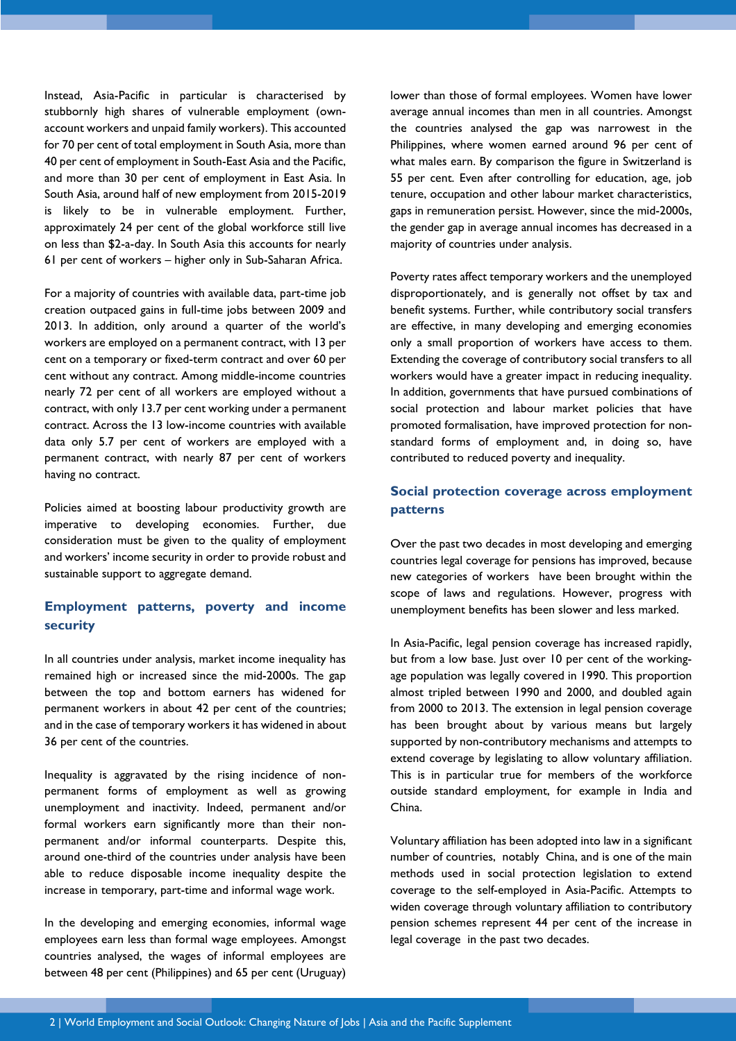Instead, Asia-Pacific in particular is characterised by stubbornly high shares of vulnerable employment (ownaccount workers and unpaid family workers). This accounted for 70 per cent of total employment in South Asia, more than 40 per cent of employment in South-East Asia and the Pacific, and more than 30 per cent of employment in East Asia. In South Asia, around half of new employment from 2015-2019 is likely to be in vulnerable employment. Further, approximately 24 per cent of the global workforce still live on less than \$2-a-day. In South Asia this accounts for nearly 61 per cent of workers – higher only in Sub-Saharan Africa.

For a majority of countries with available data, part-time job creation outpaced gains in full-time jobs between 2009 and 2013. In addition, only around a quarter of the world's workers are employed on a permanent contract, with 13 per cent on a temporary or fixed-term contract and over 60 per cent without any contract. Among middle-income countries nearly 72 per cent of all workers are employed without a contract, with only 13.7 per cent working under a permanent contract. Across the 13 low-income countries with available data only 5.7 per cent of workers are employed with a permanent contract, with nearly 87 per cent of workers having no contract.

Policies aimed at boosting labour productivity growth are imperative to developing economies. Further, due consideration must be given to the quality of employment and workers' income security in order to provide robust and sustainable support to aggregate demand.

## **Employment patterns, poverty and income security**

In all countries under analysis, market income inequality has remained high or increased since the mid-2000s. The gap between the top and bottom earners has widened for permanent workers in about 42 per cent of the countries; and in the case of temporary workers it has widened in about 36 per cent of the countries.

Inequality is aggravated by the rising incidence of nonpermanent forms of employment as well as growing unemployment and inactivity. Indeed, permanent and/or formal workers earn significantly more than their nonpermanent and/or informal counterparts. Despite this, around one-third of the countries under analysis have been able to reduce disposable income inequality despite the increase in temporary, part-time and informal wage work.

In the developing and emerging economies, informal wage employees earn less than formal wage employees. Amongst countries analysed, the wages of informal employees are between 48 per cent (Philippines) and 65 per cent (Uruguay) lower than those of formal employees. Women have lower average annual incomes than men in all countries. Amongst the countries analysed the gap was narrowest in the Philippines, where women earned around 96 per cent of what males earn. By comparison the figure in Switzerland is 55 per cent. Even after controlling for education, age, job tenure, occupation and other labour market characteristics, gaps in remuneration persist. However, since the mid-2000s, the gender gap in average annual incomes has decreased in a majority of countries under analysis.

Poverty rates affect temporary workers and the unemployed disproportionately, and is generally not offset by tax and benefit systems. Further, while contributory social transfers are effective, in many developing and emerging economies only a small proportion of workers have access to them. Extending the coverage of contributory social transfers to all workers would have a greater impact in reducing inequality. In addition, governments that have pursued combinations of social protection and labour market policies that have promoted formalisation, have improved protection for nonstandard forms of employment and, in doing so, have contributed to reduced poverty and inequality.

# **Social protection coverage across employment patterns**

Over the past two decades in most developing and emerging countries legal coverage for pensions has improved, because new categories of workers have been brought within the scope of laws and regulations. However, progress with unemployment benefits has been slower and less marked.

In Asia-Pacific, legal pension coverage has increased rapidly, but from a low base. Just over 10 per cent of the workingage population was legally covered in 1990. This proportion almost tripled between 1990 and 2000, and doubled again from 2000 to 2013. The extension in legal pension coverage has been brought about by various means but largely supported by non-contributory mechanisms and attempts to extend coverage by legislating to allow voluntary affiliation. This is in particular true for members of the workforce outside standard employment, for example in India and China.

Voluntary affiliation has been adopted into law in a significant number of countries, notably China, and is one of the main methods used in social protection legislation to extend coverage to the self-employed in Asia-Pacific. Attempts to widen coverage through voluntary affiliation to contributory pension schemes represent 44 per cent of the increase in legal coverage in the past two decades.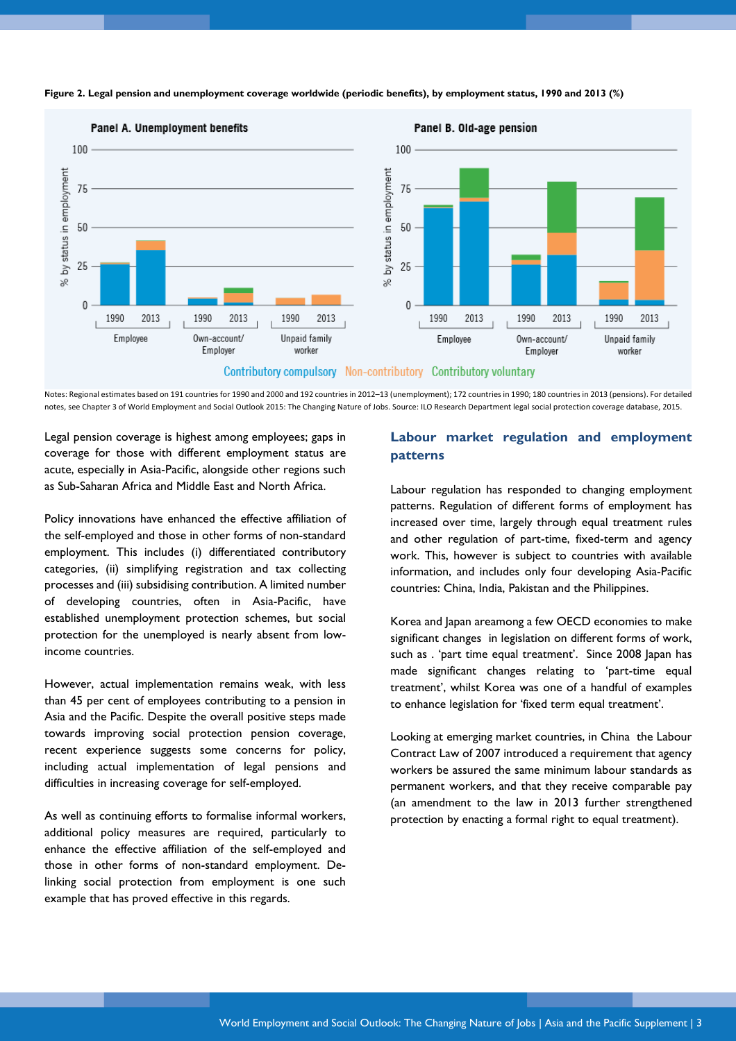

**Figure 2. Legal pension and unemployment coverage worldwide (periodic benefits), by employment status, 1990 and 2013 (%)** 

Notes: Regional estimates based on 191 countries for 1990 and 2000 and 192 countries in 2012–13 (unemployment); 172 countries in 1990; 180 countries in 2013 (pensions). For detailed notes, see Chapter 3 of World Employment and Social Outlook 2015: The Changing Nature of Jobs. Source: ILO Research Department legal social protection coverage database, 2015.

Legal pension coverage is highest among employees; gaps in coverage for those with different employment status are acute, especially in Asia-Pacific, alongside other regions such as Sub-Saharan Africa and Middle East and North Africa.

Policy innovations have enhanced the effective affiliation of the self-employed and those in other forms of non-standard employment. This includes (i) differentiated contributory categories, (ii) simplifying registration and tax collecting processes and (iii) subsidising contribution. A limited number of developing countries, often in Asia-Pacific, have established unemployment protection schemes, but social protection for the unemployed is nearly absent from lowincome countries.

However, actual implementation remains weak, with less than 45 per cent of employees contributing to a pension in Asia and the Pacific. Despite the overall positive steps made towards improving social protection pension coverage, recent experience suggests some concerns for policy, including actual implementation of legal pensions and difficulties in increasing coverage for self-employed.

As well as continuing efforts to formalise informal workers, additional policy measures are required, particularly to enhance the effective affiliation of the self-employed and those in other forms of non-standard employment. Delinking social protection from employment is one such example that has proved effective in this regards.

## **Labour market regulation and employment patterns**

Labour regulation has responded to changing employment patterns. Regulation of different forms of employment has increased over time, largely through equal treatment rules and other regulation of part-time, fixed-term and agency work. This, however is subject to countries with available information, and includes only four developing Asia-Pacific countries: China, India, Pakistan and the Philippines.

Korea and Japan areamong a few OECD economies to make significant changes in legislation on different forms of work, such as . 'part time equal treatment'. Since 2008 Japan has made significant changes relating to 'part-time equal treatment', whilst Korea was one of a handful of examples to enhance legislation for 'fixed term equal treatment'.

Looking at emerging market countries, in China the Labour Contract Law of 2007 introduced a requirement that agency workers be assured the same minimum labour standards as permanent workers, and that they receive comparable pay (an amendment to the law in 2013 further strengthened protection by enacting a formal right to equal treatment).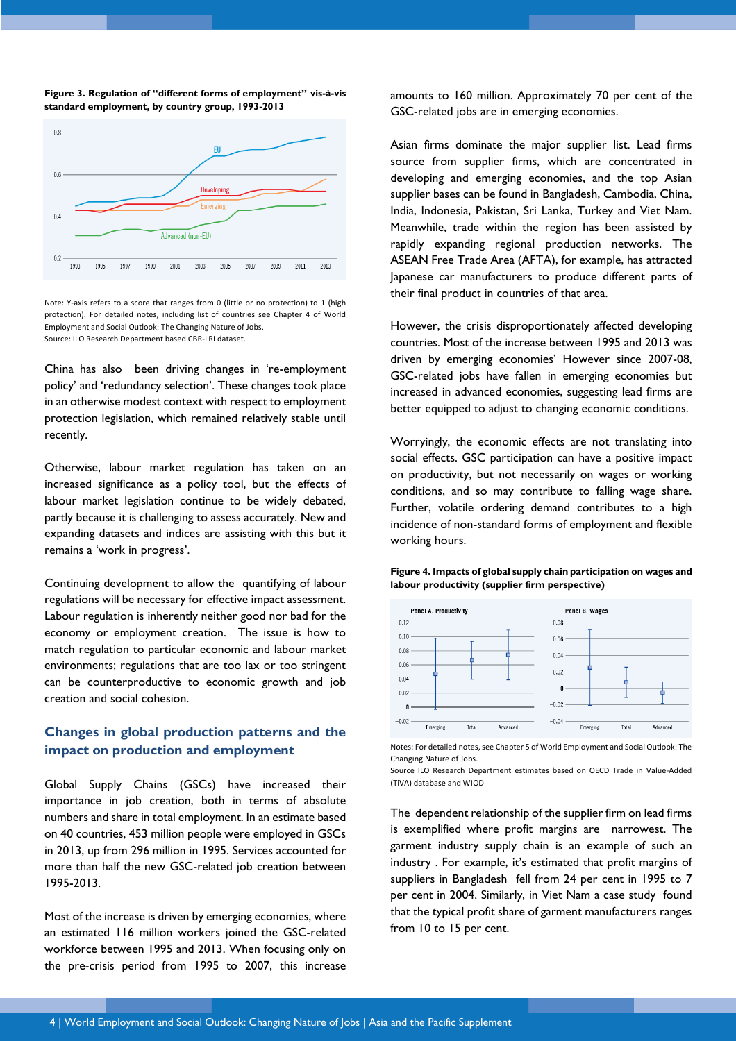



Note: Y-axis refers to a score that ranges from 0 (little or no protection) to 1 (high protection). For detailed notes, including list of countries see Chapter 4 of World Employment and Social Outlook: The Changing Nature of Jobs. Source: ILO Research Department based CBR-LRI dataset.

China has also been driving changes in 're-employment policy' and 'redundancy selection'. These changes took place in an otherwise modest context with respect to employment protection legislation, which remained relatively stable until recently.

Otherwise, labour market regulation has taken on an increased significance as a policy tool, but the effects of labour market legislation continue to be widely debated, partly because it is challenging to assess accurately. New and expanding datasets and indices are assisting with this but it remains a 'work in progress'.

Continuing development to allow the quantifying of labour regulations will be necessary for effective impact assessment. Labour regulation is inherently neither good nor bad for the economy or employment creation. The issue is how to match regulation to particular economic and labour market environments; regulations that are too lax or too stringent can be counterproductive to economic growth and job creation and social cohesion.

## **Changes in global production patterns and the impact on production and employment**

Global Supply Chains (GSCs) have increased their importance in job creation, both in terms of absolute numbers and share in total employment. In an estimate based on 40 countries, 453 million people were employed in GSCs in 2013, up from 296 million in 1995. Services accounted for more than half the new GSC-related job creation between 1995-2013.

Most of the increase is driven by emerging economies, where an estimated 116 million workers joined the GSC-related workforce between 1995 and 2013. When focusing only on the pre-crisis period from 1995 to 2007, this increase

amounts to 160 million. Approximately 70 per cent of the GSC-related jobs are in emerging economies.

Asian firms dominate the major supplier list. Lead firms source from supplier firms, which are concentrated in developing and emerging economies, and the top Asian supplier bases can be found in Bangladesh, Cambodia, China, India, Indonesia, Pakistan, Sri Lanka, Turkey and Viet Nam. Meanwhile, trade within the region has been assisted by rapidly expanding regional production networks. The ASEAN Free Trade Area (AFTA), for example, has attracted Japanese car manufacturers to produce different parts of their final product in countries of that area.

However, the crisis disproportionately affected developing countries. Most of the increase between 1995 and 2013 was driven by emerging economies' However since 2007-08, GSC-related jobs have fallen in emerging economies but increased in advanced economies, suggesting lead firms are better equipped to adjust to changing economic conditions.

Worryingly, the economic effects are not translating into social effects. GSC participation can have a positive impact on productivity, but not necessarily on wages or working conditions, and so may contribute to falling wage share. Further, volatile ordering demand contributes to a high incidence of non-standard forms of employment and flexible working hours.

**Figure 4. Impacts of global supply chain participation on wages and labour productivity (supplier firm perspective)** 



Notes: For detailed notes, see Chapter 5 of World Employment and Social Outlook: The Changing Nature of Jobs.

Source ILO Research Department estimates based on OECD Trade in Value-Added (TiVA) database and WIOD

The dependent relationship of the supplier firm on lead firms is exemplified where profit margins are narrowest. The garment industry supply chain is an example of such an industry . For example, it's estimated that profit margins of suppliers in Bangladesh fell from 24 per cent in 1995 to 7 per cent in 2004. Similarly, in Viet Nam a case study found that the typical profit share of garment manufacturers ranges from 10 to 15 per cent.